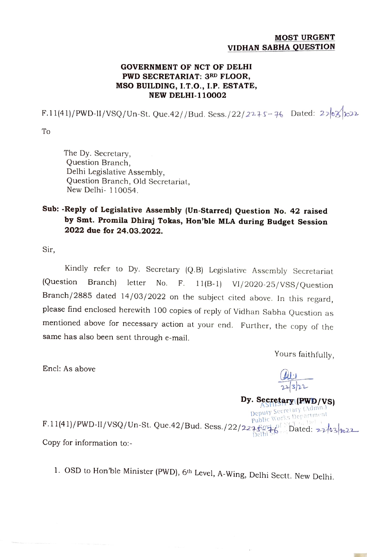## MOST URGENT VIDHAN SABHA QUESTION

## GOVERNMENT OF NCT OF DELHI PWD SECRETARIAT: 3RD FLOOR, MSO BUILDING, I.T.O., I.P. ESTATE, NEW DELHI-110002

 $F.11(41)/PWD-H/VSQ/Un-St. Que.42//Bud. Sess./22/2275-76$  Dated: 2703/022

To

The Dy. Secretary, Question Branch, Delhi Legislative Assembly, Question Branch, Old Secretariat, New Delhi- 110054.

## Sub: -Reply of Legislative Assembly (Un-Starred) Question No. 42 raised by Smt. Promila Dhiraj Tokas, Hon'ble MLA during Budget Session 2022 due for 24.03.2022.

Sir,

Kindly refer to Dy. Secretary (Q.B) Legislative Asscmbly Secretariat (Question Branch) letter No. F. 11(B-1) VI/2020-25/VSS/Question Branch/2885 dated 14/03/2022 on the subject cited above. In this regard, please find enclosed herewith 100 copies of reply of Vidhan Sabha Question as mentioned above for necessary action at your end. Further, the copy of the same has also been sent through e-mail.

Yours faithfully,

Encl: As above

Dy. Secretary (PWD/VS)

## Deputy Secretary (Admn.) Public Works Department  $\text{F.11(41)}/\text{PWD-II/VSQ/Un-St. Que.42/Bud. Sess.}/22/227\xrightarrow{\text{G.94.6}}\text{Deltii 56}$  Dated: 22/03/22 Copy for information to:-

1. OSD to Hon'ble Minister (PWD), 6th Level, A-Wing, Delhi Sectt. New Delhi.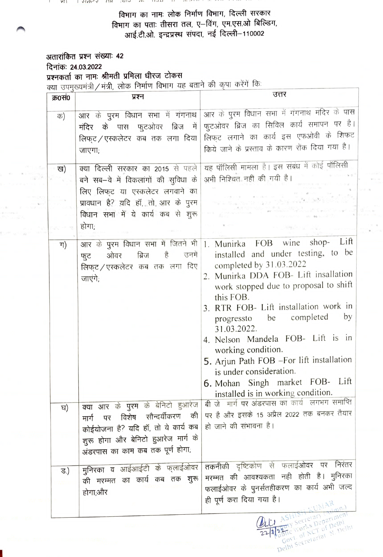$\frac{1}{2}$   $\frac{1}{2}$   $\frac{1}{2}$   $\frac{1}{2}$   $\frac{1}{2}$   $\frac{1}{2}$   $\frac{1}{2}$   $\frac{1}{2}$   $\frac{1}{2}$   $\frac{1}{2}$   $\frac{1}{2}$   $\frac{1}{2}$   $\frac{1}{2}$   $\frac{1}{2}$   $\frac{1}{2}$   $\frac{1}{2}$   $\frac{1}{2}$   $\frac{1}{2}$   $\frac{1}{2}$   $\frac{1}{2}$   $\frac{1}{2}$   $\frac{1}{2}$   $1110$ rh  $1111$ 

> विभाग का नामः लोक निर्माण विभाग, दिल्ली सरकार विभाग का पताः तीसरा तल, ए-विंग, एम.एस.ओ बिल्डिंग, आई.टी.ओ. इन्द्रप्रस्थ संपदा, नई दिल्ली-110002

अतारांकित प्रश्न संख्याः 42 दिनांकः 24.03.2022 प्रश्नकर्ता का नामः श्रीमती प्रमिला धीरज टोकस क्या उपमुख्यमंत्री / मंत्री, लोक निर्माण विभाग यह बताने की कृपा करेंगें कि

| क्र0सं0 | $\frac{1}{2}$<br>प्रश्न                                                                                                                                                                          | उत्तर                                                                                                                                                                                                                                                                                                                                                                                                                                                                                                                                 |
|---------|--------------------------------------------------------------------------------------------------------------------------------------------------------------------------------------------------|---------------------------------------------------------------------------------------------------------------------------------------------------------------------------------------------------------------------------------------------------------------------------------------------------------------------------------------------------------------------------------------------------------------------------------------------------------------------------------------------------------------------------------------|
| क)      | आर के पुरम विधान सभा में गंगनाथ<br>मंदिर के पास फुटओवर ब्रिज में<br>लिफट / एस्कलेटर कब तक लगा दिया<br>जाएगा;                                                                                     | आर के पुरम विधान सभा में गंगनाथ मंदिर के पास<br>फुटओवर ब्रिज का सिविल कार्य समापन पर है।<br>लिफ्ट लगाने का कार्य इस एफओवी के शिफट<br>किये जाने के प्रस्ताव के कारण रोंक दिया गया है।                                                                                                                                                                                                                                                                                                                                                  |
| ख)      | क्या दिल्ली सरकार का 2015 से पहले<br>बने सब–वे में विकलांगों की सुविधा के<br>लिए लिफ्ट या एस्कलेटर लगवाने का<br>प्रावधान है? यदि हॉ, तो आर के पुरम<br>विधान सभा में ये कार्य कब से शुरू<br>होगा; | यह पॉलिसी मामला है। इस संबंध में कोई पॉलिसी<br>अभी निश्चित नहीं की गयी है।                                                                                                                                                                                                                                                                                                                                                                                                                                                            |
| ग)      | ओवर ब्रिज है उनमें<br>फूट<br>लिफुट/एस्कलेटर कब तक लगा दिए<br>जाएंगे;                                                                                                                             | Lift<br>आर के पुरम विधान सभा में जितने भी । Munirka FOB wine shop-<br>installed and under testing, to be<br>completed by 31.03.2022<br>2. Munirka DDA FOB- Lift insallation<br>work stopped due to proposal to shift<br>this FOB.<br>3. RTR FOB- Lift installation work in<br>progressto be completed<br>by<br>31.03.2022.<br>4. Nelson Mandela FOB- Lift is in<br>working condition.<br>5. Arjun Path FOB -For lift installation<br>is under consideration.<br>6. Mohan Singh market FOB- Lift<br>installed is in working condition. |
| घ)      | क्या आर के पुरम के बनिटा हुआरज<br>विशेष सौन्दर्यीकरण की<br>पर<br>मार्ग<br>कोईयोजना है? यदि हॉ, तो ये कार्य कब<br>शुरू होगा और बेनिटो हुआरेज मार्ग के<br>अंडरपास का काम कब तक पूर्ण होगा;         | बी जेकमार्ग पर अंडरपास का कार्य लगभग समाप्ति<br>पर है और इसके 15 अप्रैल 2022 तक बनकर तैयार<br>हो जाने की संभावना है।                                                                                                                                                                                                                                                                                                                                                                                                                  |
| ड.)     | मुनिरका व आईआईटी के फ्लाईओवर<br>की मरम्मत का कार्य कब तक शुरू<br>होगा;और                                                                                                                         | तकनीकी दृष्टिकोण से फलाईओवर पर निरंतर<br>मरम्मत की आवश्यकता नही होती है। मुनिरका<br>फलाईओवर के पुनर्सतहीकरण का कार्य अभी जल्द<br>ही पूर्ण करा दिया गया है।<br>DIV Secretary (Admn.)<br>ASHTST                                                                                                                                                                                                                                                                                                                                         |
|         |                                                                                                                                                                                                  | Byty serve pepartment<br>Delhi Secretariat N. Delhi                                                                                                                                                                                                                                                                                                                                                                                                                                                                                   |